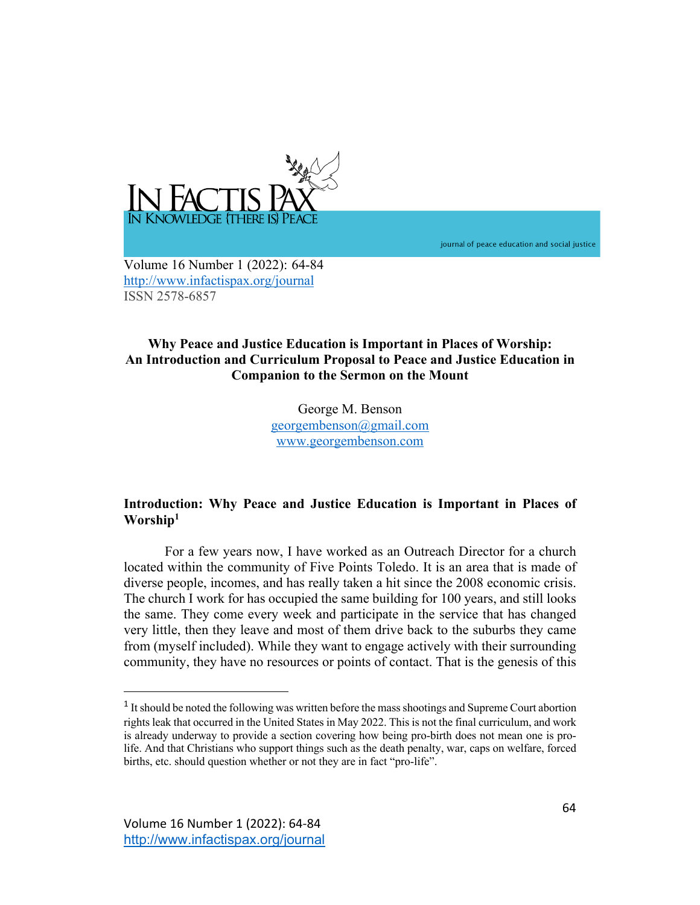

journal of peace education and social justice

Volume 16 Number 1 (2022): 64-84 http://www.infactispax.org/journal ISSN 2578-6857

# **Why Peace and Justice Education is Important in Places of Worship: An Introduction and Curriculum Proposal to Peace and Justice Education in Companion to the Sermon on the Mount**

George M. Benson georgembenson@gmail.com www.georgembenson.com

# **Introduction: Why Peace and Justice Education is Important in Places of Worship1**

For a few years now, I have worked as an Outreach Director for a church located within the community of Five Points Toledo. It is an area that is made of diverse people, incomes, and has really taken a hit since the 2008 economic crisis. The church I work for has occupied the same building for 100 years, and still looks the same. They come every week and participate in the service that has changed very little, then they leave and most of them drive back to the suburbs they came from (myself included). While they want to engage actively with their surrounding community, they have no resources or points of contact. That is the genesis of this

<sup>&</sup>lt;sup>1</sup> It should be noted the following was written before the mass shootings and Supreme Court abortion rights leak that occurred in the United States in May 2022. This is not the final curriculum, and work is already underway to provide a section covering how being pro-birth does not mean one is prolife. And that Christians who support things such as the death penalty, war, caps on welfare, forced births, etc. should question whether or not they are in fact "pro-life".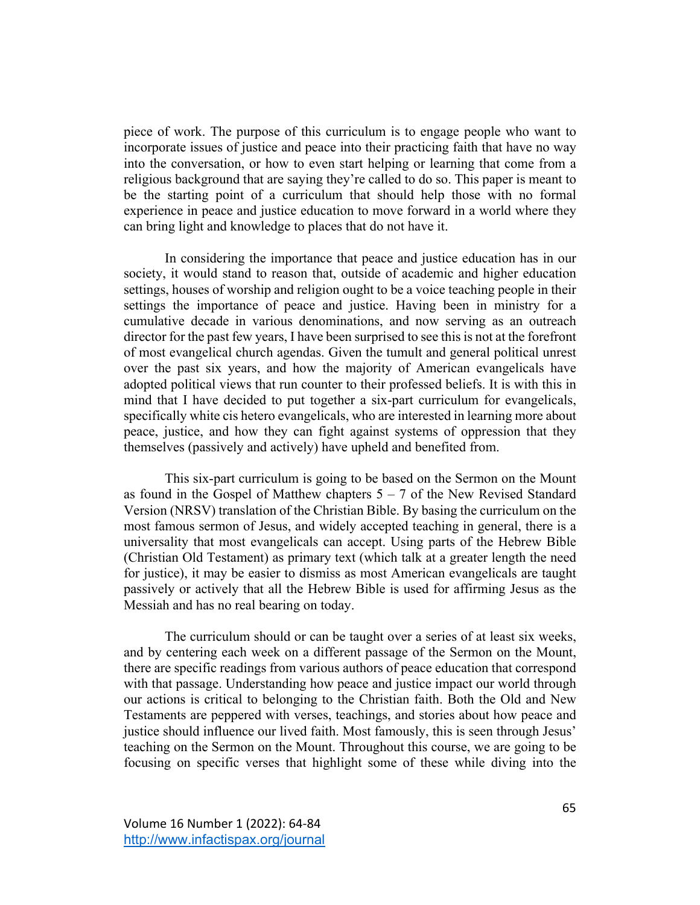piece of work. The purpose of this curriculum is to engage people who want to incorporate issues of justice and peace into their practicing faith that have no way into the conversation, or how to even start helping or learning that come from a religious background that are saying they're called to do so. This paper is meant to be the starting point of a curriculum that should help those with no formal experience in peace and justice education to move forward in a world where they can bring light and knowledge to places that do not have it.

In considering the importance that peace and justice education has in our society, it would stand to reason that, outside of academic and higher education settings, houses of worship and religion ought to be a voice teaching people in their settings the importance of peace and justice. Having been in ministry for a cumulative decade in various denominations, and now serving as an outreach director for the past few years, I have been surprised to see this is not at the forefront of most evangelical church agendas. Given the tumult and general political unrest over the past six years, and how the majority of American evangelicals have adopted political views that run counter to their professed beliefs. It is with this in mind that I have decided to put together a six-part curriculum for evangelicals, specifically white cis hetero evangelicals, who are interested in learning more about peace, justice, and how they can fight against systems of oppression that they themselves (passively and actively) have upheld and benefited from.

This six-part curriculum is going to be based on the Sermon on the Mount as found in the Gospel of Matthew chapters  $5 - 7$  of the New Revised Standard Version (NRSV) translation of the Christian Bible. By basing the curriculum on the most famous sermon of Jesus, and widely accepted teaching in general, there is a universality that most evangelicals can accept. Using parts of the Hebrew Bible (Christian Old Testament) as primary text (which talk at a greater length the need for justice), it may be easier to dismiss as most American evangelicals are taught passively or actively that all the Hebrew Bible is used for affirming Jesus as the Messiah and has no real bearing on today.

The curriculum should or can be taught over a series of at least six weeks, and by centering each week on a different passage of the Sermon on the Mount, there are specific readings from various authors of peace education that correspond with that passage. Understanding how peace and justice impact our world through our actions is critical to belonging to the Christian faith. Both the Old and New Testaments are peppered with verses, teachings, and stories about how peace and justice should influence our lived faith. Most famously, this is seen through Jesus' teaching on the Sermon on the Mount. Throughout this course, we are going to be focusing on specific verses that highlight some of these while diving into the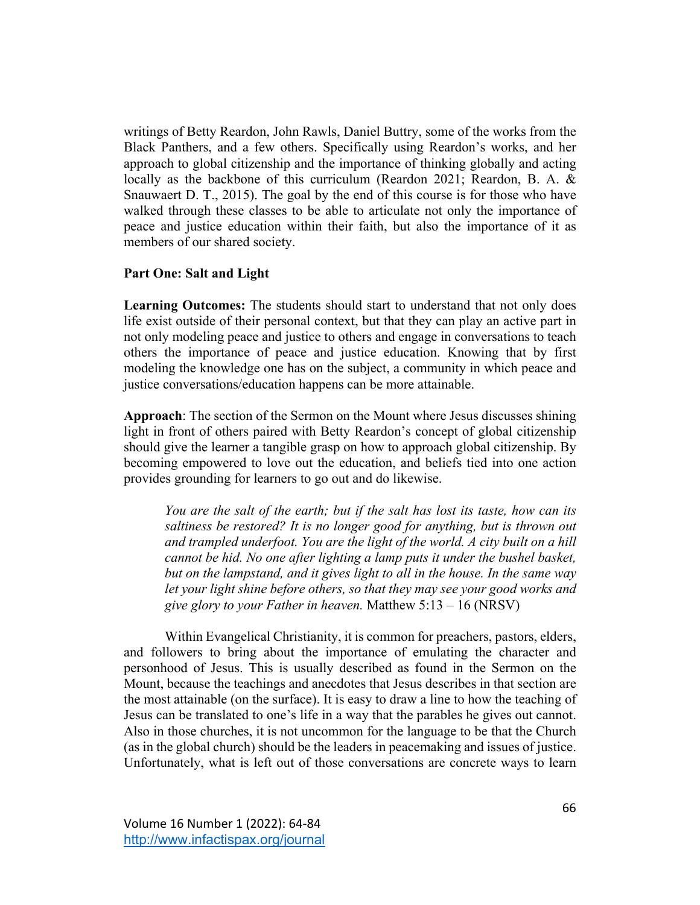writings of Betty Reardon, John Rawls, Daniel Buttry, some of the works from the Black Panthers, and a few others. Specifically using Reardon's works, and her approach to global citizenship and the importance of thinking globally and acting locally as the backbone of this curriculum (Reardon 2021; Reardon, B. A. & Snauwaert D. T., 2015). The goal by the end of this course is for those who have walked through these classes to be able to articulate not only the importance of peace and justice education within their faith, but also the importance of it as members of our shared society.

## **Part One: Salt and Light**

**Learning Outcomes:** The students should start to understand that not only does life exist outside of their personal context, but that they can play an active part in not only modeling peace and justice to others and engage in conversations to teach others the importance of peace and justice education. Knowing that by first modeling the knowledge one has on the subject, a community in which peace and justice conversations/education happens can be more attainable.

**Approach**: The section of the Sermon on the Mount where Jesus discusses shining light in front of others paired with Betty Reardon's concept of global citizenship should give the learner a tangible grasp on how to approach global citizenship. By becoming empowered to love out the education, and beliefs tied into one action provides grounding for learners to go out and do likewise.

*You are the salt of the earth; but if the salt has lost its taste, how can its saltiness be restored? It is no longer good for anything, but is thrown out and trampled underfoot. You are the light of the world. A city built on a hill cannot be hid. No one after lighting a lamp puts it under the bushel basket, but on the lampstand, and it gives light to all in the house. In the same way let your light shine before others, so that they may see your good works and give glory to your Father in heaven.* Matthew 5:13 – 16 (NRSV)

Within Evangelical Christianity, it is common for preachers, pastors, elders, and followers to bring about the importance of emulating the character and personhood of Jesus. This is usually described as found in the Sermon on the Mount, because the teachings and anecdotes that Jesus describes in that section are the most attainable (on the surface). It is easy to draw a line to how the teaching of Jesus can be translated to one's life in a way that the parables he gives out cannot. Also in those churches, it is not uncommon for the language to be that the Church (as in the global church) should be the leaders in peacemaking and issues of justice. Unfortunately, what is left out of those conversations are concrete ways to learn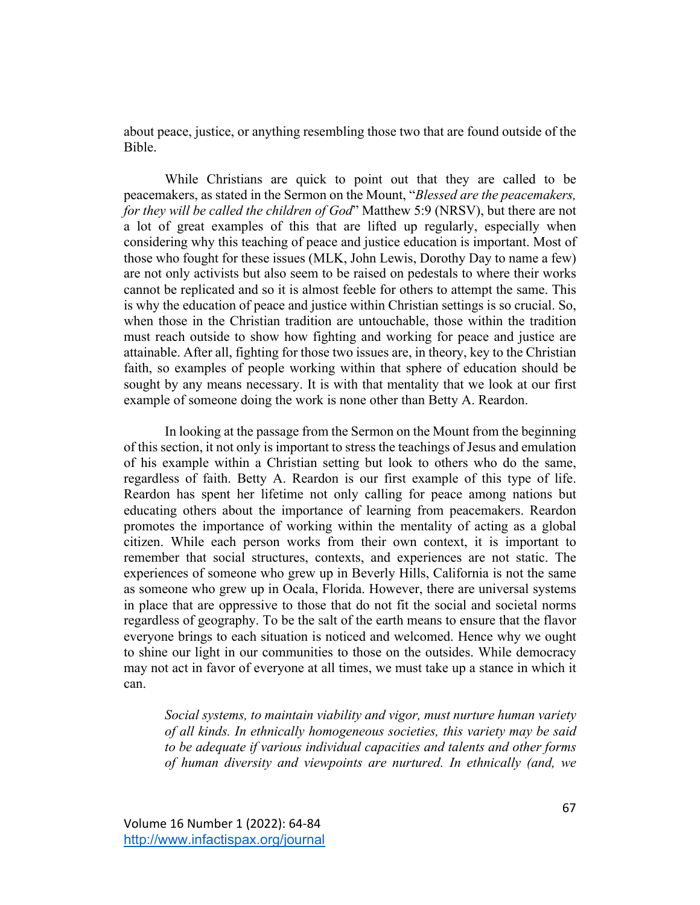about peace, justice, or anything resembling those two that are found outside of the Bible.

While Christians are quick to point out that they are called to be peacemakers, as stated in the Sermon on the Mount, "*Blessed are the peacemakers, for they will be called the children of God*" Matthew 5:9 (NRSV), but there are not a lot of great examples of this that are lifted up regularly, especially when considering why this teaching of peace and justice education is important. Most of those who fought for these issues (MLK, John Lewis, Dorothy Day to name a few) are not only activists but also seem to be raised on pedestals to where their works cannot be replicated and so it is almost feeble for others to attempt the same. This is why the education of peace and justice within Christian settings is so crucial. So, when those in the Christian tradition are untouchable, those within the tradition must reach outside to show how fighting and working for peace and justice are attainable. After all, fighting for those two issues are, in theory, key to the Christian faith, so examples of people working within that sphere of education should be sought by any means necessary. It is with that mentality that we look at our first example of someone doing the work is none other than Betty A. Reardon.

In looking at the passage from the Sermon on the Mount from the beginning of this section, it not only is important to stress the teachings of Jesus and emulation of his example within a Christian setting but look to others who do the same, regardless of faith. Betty A. Reardon is our first example of this type of life. Reardon has spent her lifetime not only calling for peace among nations but educating others about the importance of learning from peacemakers. Reardon promotes the importance of working within the mentality of acting as a global citizen. While each person works from their own context, it is important to remember that social structures, contexts, and experiences are not static. The experiences of someone who grew up in Beverly Hills, California is not the same as someone who grew up in Ocala, Florida. However, there are universal systems in place that are oppressive to those that do not fit the social and societal norms regardless of geography. To be the salt of the earth means to ensure that the flavor everyone brings to each situation is noticed and welcomed. Hence why we ought to shine our light in our communities to those on the outsides. While democracy may not act in favor of everyone at all times, we must take up a stance in which it can.

*Social systems, to maintain viability and vigor, must nurture human variety of all kinds. In ethnically homogeneous societies, this variety may be said to be adequate if various individual capacities and talents and other forms of human diversity and viewpoints are nurtured. In ethnically (and, we*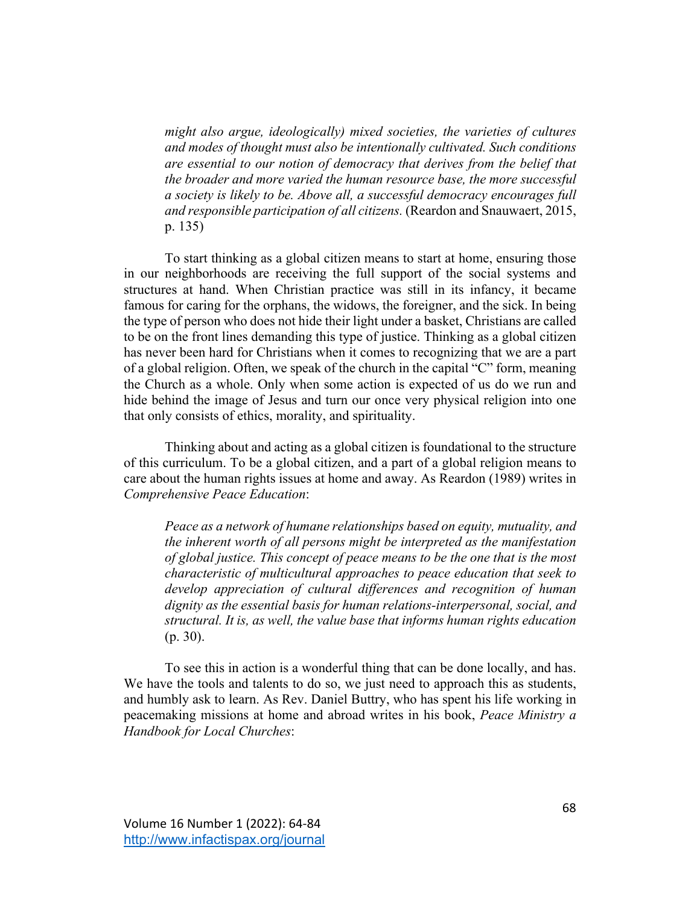*might also argue, ideologically) mixed societies, the varieties of cultures and modes of thought must also be intentionally cultivated. Such conditions are essential to our notion of democracy that derives from the belief that the broader and more varied the human resource base, the more successful a society is likely to be. Above all, a successful democracy encourages full and responsible participation of all citizens.* (Reardon and Snauwaert, 2015, p. 135)

To start thinking as a global citizen means to start at home, ensuring those in our neighborhoods are receiving the full support of the social systems and structures at hand. When Christian practice was still in its infancy, it became famous for caring for the orphans, the widows, the foreigner, and the sick. In being the type of person who does not hide their light under a basket, Christians are called to be on the front lines demanding this type of justice. Thinking as a global citizen has never been hard for Christians when it comes to recognizing that we are a part of a global religion. Often, we speak of the church in the capital "C" form, meaning the Church as a whole. Only when some action is expected of us do we run and hide behind the image of Jesus and turn our once very physical religion into one that only consists of ethics, morality, and spirituality.

Thinking about and acting as a global citizen is foundational to the structure of this curriculum. To be a global citizen, and a part of a global religion means to care about the human rights issues at home and away. As Reardon (1989) writes in *Comprehensive Peace Education*:

*Peace as a network of humane relationships based on equity, mutuality, and the inherent worth of all persons might be interpreted as the manifestation of global justice. This concept of peace means to be the one that is the most characteristic of multicultural approaches to peace education that seek to develop appreciation of cultural differences and recognition of human dignity as the essential basis for human relations-interpersonal, social, and structural. It is, as well, the value base that informs human rights education* (p. 30).

To see this in action is a wonderful thing that can be done locally, and has. We have the tools and talents to do so, we just need to approach this as students, and humbly ask to learn. As Rev. Daniel Buttry, who has spent his life working in peacemaking missions at home and abroad writes in his book, *Peace Ministry a Handbook for Local Churches*: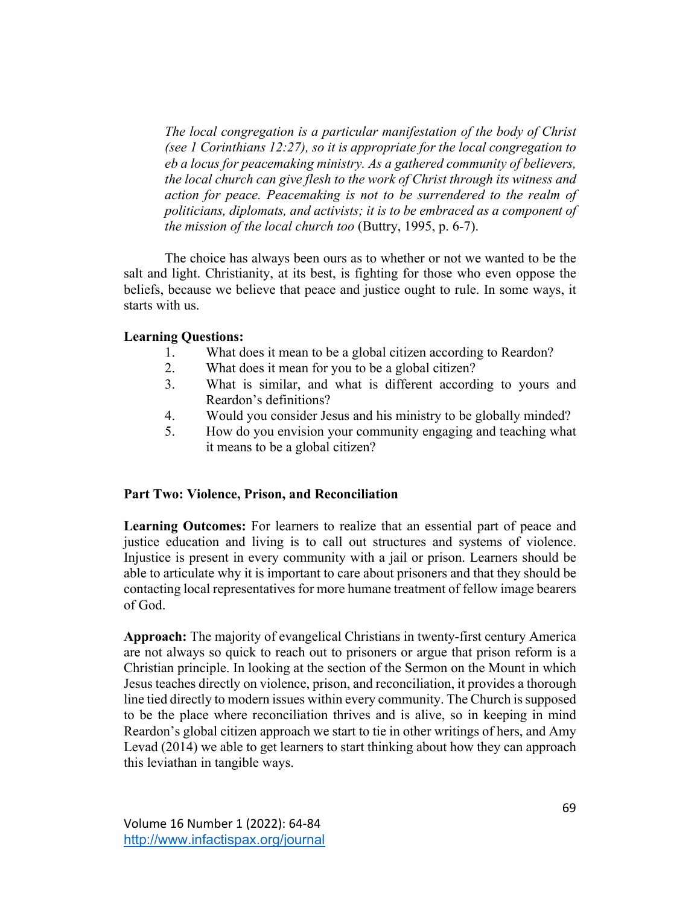*The local congregation is a particular manifestation of the body of Christ (see 1 Corinthians 12:27), so it is appropriate for the local congregation to eb a locus for peacemaking ministry. As a gathered community of believers, the local church can give flesh to the work of Christ through its witness and action for peace. Peacemaking is not to be surrendered to the realm of politicians, diplomats, and activists; it is to be embraced as a component of the mission of the local church too* (Buttry, 1995, p. 6-7).

The choice has always been ours as to whether or not we wanted to be the salt and light. Christianity, at its best, is fighting for those who even oppose the beliefs, because we believe that peace and justice ought to rule. In some ways, it starts with us.

# **Learning Questions:**

- 1. What does it mean to be a global citizen according to Reardon?
- 2. What does it mean for you to be a global citizen?
- 3. What is similar, and what is different according to yours and Reardon's definitions?
- 4. Would you consider Jesus and his ministry to be globally minded?
- 5. How do you envision your community engaging and teaching what it means to be a global citizen?

# **Part Two: Violence, Prison, and Reconciliation**

**Learning Outcomes:** For learners to realize that an essential part of peace and justice education and living is to call out structures and systems of violence. Injustice is present in every community with a jail or prison. Learners should be able to articulate why it is important to care about prisoners and that they should be contacting local representatives for more humane treatment of fellow image bearers of God.

**Approach:** The majority of evangelical Christians in twenty-first century America are not always so quick to reach out to prisoners or argue that prison reform is a Christian principle. In looking at the section of the Sermon on the Mount in which Jesus teaches directly on violence, prison, and reconciliation, it provides a thorough line tied directly to modern issues within every community. The Church is supposed to be the place where reconciliation thrives and is alive, so in keeping in mind Reardon's global citizen approach we start to tie in other writings of hers, and Amy Levad (2014) we able to get learners to start thinking about how they can approach this leviathan in tangible ways.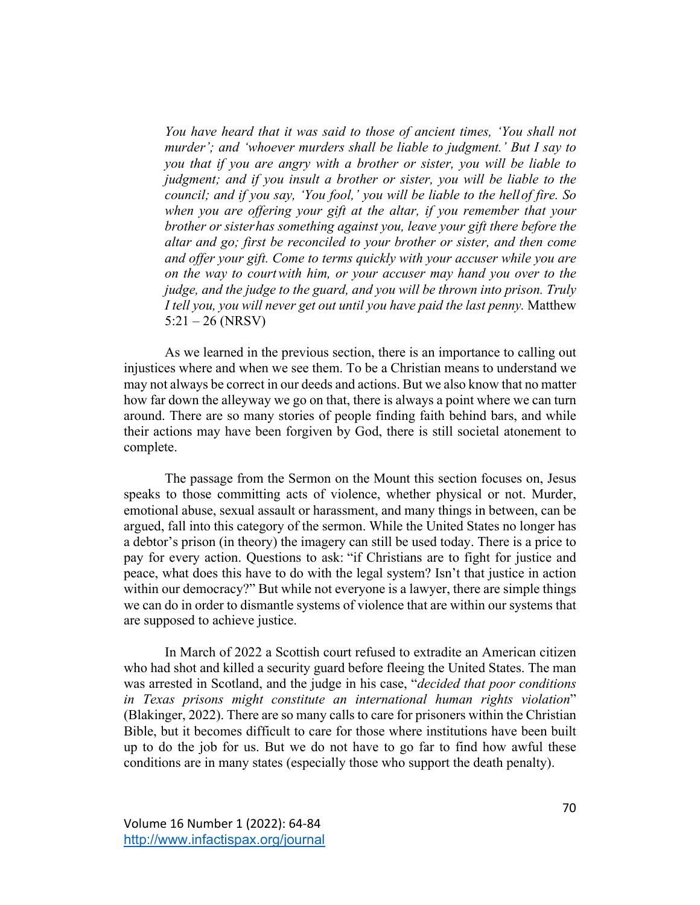*You have heard that it was said to those of ancient times, 'You shall not murder'; and 'whoever murders shall be liable to judgment.' But I say to you that if you are angry with a brother or sister, you will be liable to judgment; and if you insult a brother or sister, you will be liable to the council; and if you say, 'You fool,' you will be liable to the hellof fire. So when you are offering your gift at the altar, if you remember that your brother or sisterhas something against you, leave your gift there before the altar and go; first be reconciled to your brother or sister, and then come and offer your gift. Come to terms quickly with your accuser while you are on the way to courtwith him, or your accuser may hand you over to the judge, and the judge to the guard, and you will be thrown into prison. Truly I tell you, you will never get out until you have paid the last penny.* Matthew 5:21 – 26 (NRSV)

As we learned in the previous section, there is an importance to calling out injustices where and when we see them. To be a Christian means to understand we may not always be correct in our deeds and actions. But we also know that no matter how far down the alleyway we go on that, there is always a point where we can turn around. There are so many stories of people finding faith behind bars, and while their actions may have been forgiven by God, there is still societal atonement to complete.

The passage from the Sermon on the Mount this section focuses on, Jesus speaks to those committing acts of violence, whether physical or not. Murder, emotional abuse, sexual assault or harassment, and many things in between, can be argued, fall into this category of the sermon. While the United States no longer has a debtor's prison (in theory) the imagery can still be used today. There is a price to pay for every action. Questions to ask: "if Christians are to fight for justice and peace, what does this have to do with the legal system? Isn't that justice in action within our democracy?" But while not everyone is a lawyer, there are simple things we can do in order to dismantle systems of violence that are within our systems that are supposed to achieve justice.

In March of 2022 a Scottish court refused to extradite an American citizen who had shot and killed a security guard before fleeing the United States. The man was arrested in Scotland, and the judge in his case, "*decided that poor conditions in Texas prisons might constitute an international human rights violation*" (Blakinger, 2022). There are so many calls to care for prisoners within the Christian Bible, but it becomes difficult to care for those where institutions have been built up to do the job for us. But we do not have to go far to find how awful these conditions are in many states (especially those who support the death penalty).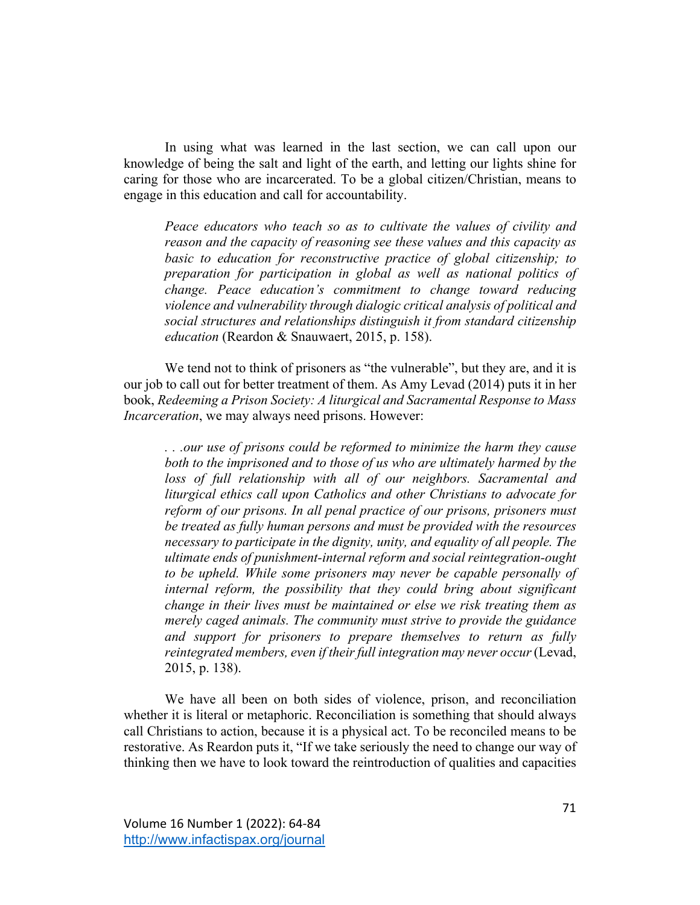In using what was learned in the last section, we can call upon our knowledge of being the salt and light of the earth, and letting our lights shine for caring for those who are incarcerated. To be a global citizen/Christian, means to engage in this education and call for accountability.

*Peace educators who teach so as to cultivate the values of civility and reason and the capacity of reasoning see these values and this capacity as basic to education for reconstructive practice of global citizenship; to preparation for participation in global as well as national politics of change. Peace education's commitment to change toward reducing violence and vulnerability through dialogic critical analysis of political and social structures and relationships distinguish it from standard citizenship education* (Reardon & Snauwaert, 2015, p. 158).

We tend not to think of prisoners as "the vulnerable", but they are, and it is our job to call out for better treatment of them. As Amy Levad (2014) puts it in her book, *Redeeming a Prison Society: A liturgical and Sacramental Response to Mass Incarceration*, we may always need prisons. However:

*. . .our use of prisons could be reformed to minimize the harm they cause both to the imprisoned and to those of us who are ultimately harmed by the loss of full relationship with all of our neighbors. Sacramental and liturgical ethics call upon Catholics and other Christians to advocate for reform of our prisons. In all penal practice of our prisons, prisoners must be treated as fully human persons and must be provided with the resources necessary to participate in the dignity, unity, and equality of all people. The ultimate ends of punishment-internal reform and social reintegration-ought to be upheld. While some prisoners may never be capable personally of internal reform, the possibility that they could bring about significant change in their lives must be maintained or else we risk treating them as merely caged animals. The community must strive to provide the guidance and support for prisoners to prepare themselves to return as fully reintegrated members, even if their full integration may never occur*(Levad, 2015, p. 138).

We have all been on both sides of violence, prison, and reconciliation whether it is literal or metaphoric. Reconciliation is something that should always call Christians to action, because it is a physical act. To be reconciled means to be restorative. As Reardon puts it, "If we take seriously the need to change our way of thinking then we have to look toward the reintroduction of qualities and capacities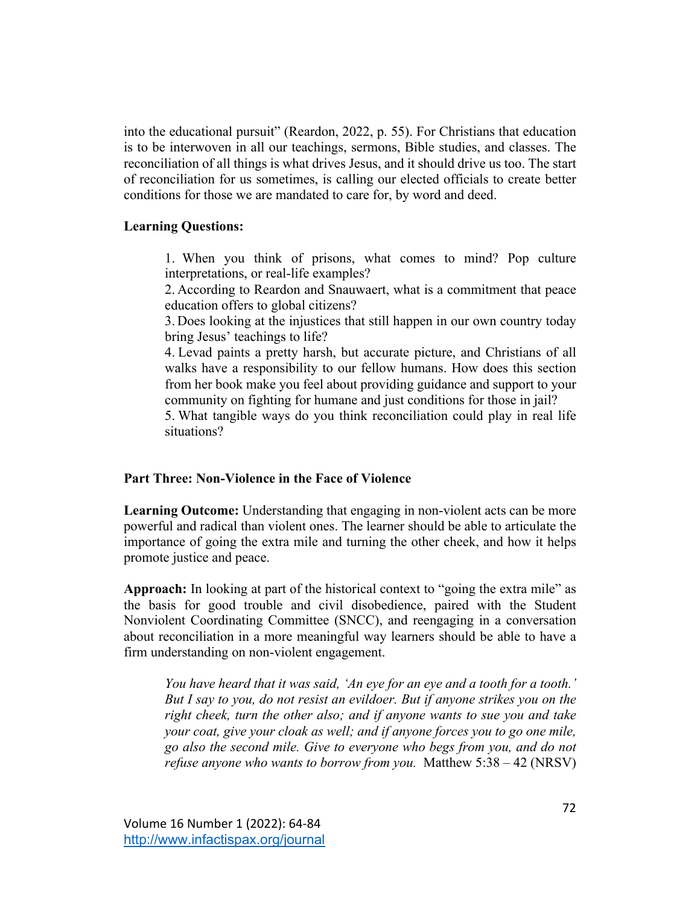into the educational pursuit" (Reardon, 2022, p. 55). For Christians that education is to be interwoven in all our teachings, sermons, Bible studies, and classes. The reconciliation of all things is what drives Jesus, and it should drive us too. The start of reconciliation for us sometimes, is calling our elected officials to create better conditions for those we are mandated to care for, by word and deed.

## **Learning Questions:**

1. When you think of prisons, what comes to mind? Pop culture interpretations, or real-life examples?

2. According to Reardon and Snauwaert, what is a commitment that peace education offers to global citizens?

3. Does looking at the injustices that still happen in our own country today bring Jesus' teachings to life?

4. Levad paints a pretty harsh, but accurate picture, and Christians of all walks have a responsibility to our fellow humans. How does this section from her book make you feel about providing guidance and support to your community on fighting for humane and just conditions for those in jail?

5. What tangible ways do you think reconciliation could play in real life situations?

#### **Part Three: Non-Violence in the Face of Violence**

**Learning Outcome:** Understanding that engaging in non-violent acts can be more powerful and radical than violent ones. The learner should be able to articulate the importance of going the extra mile and turning the other cheek, and how it helps promote justice and peace.

**Approach:** In looking at part of the historical context to "going the extra mile" as the basis for good trouble and civil disobedience, paired with the Student Nonviolent Coordinating Committee (SNCC), and reengaging in a conversation about reconciliation in a more meaningful way learners should be able to have a firm understanding on non-violent engagement.

*You have heard that it was said, 'An eye for an eye and a tooth for a tooth.' But I say to you, do not resist an evildoer. But if anyone strikes you on the right cheek, turn the other also; and if anyone wants to sue you and take your coat, give your cloak as well; and if anyone forces you to go one mile, go also the second mile. Give to everyone who begs from you, and do not refuse anyone who wants to borrow from you.* Matthew 5:38 – 42 (NRSV)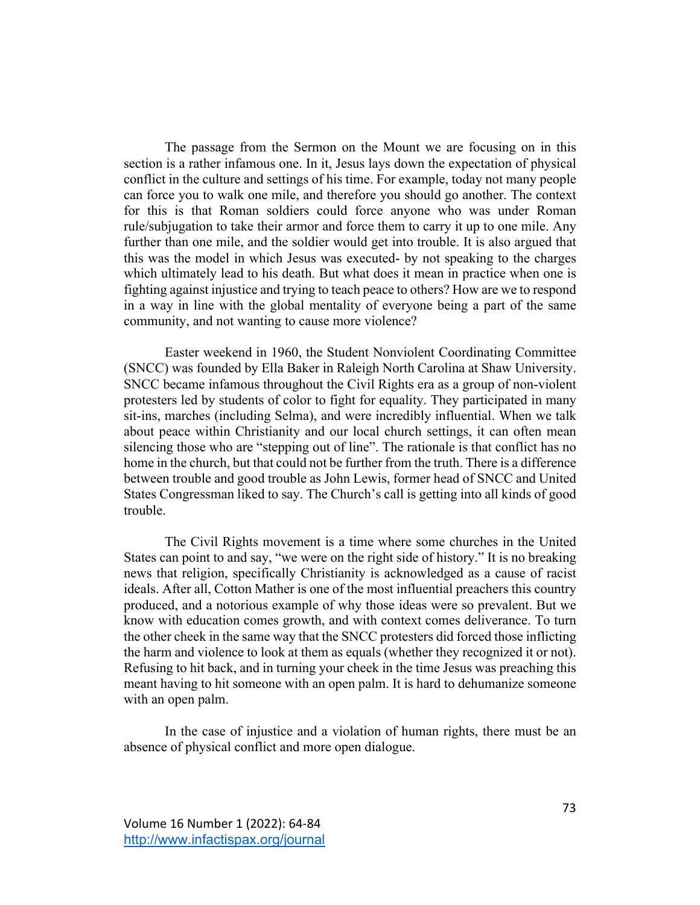The passage from the Sermon on the Mount we are focusing on in this section is a rather infamous one. In it, Jesus lays down the expectation of physical conflict in the culture and settings of his time. For example, today not many people can force you to walk one mile, and therefore you should go another. The context for this is that Roman soldiers could force anyone who was under Roman rule/subjugation to take their armor and force them to carry it up to one mile. Any further than one mile, and the soldier would get into trouble. It is also argued that this was the model in which Jesus was executed- by not speaking to the charges which ultimately lead to his death. But what does it mean in practice when one is fighting against injustice and trying to teach peace to others? How are we to respond in a way in line with the global mentality of everyone being a part of the same community, and not wanting to cause more violence?

Easter weekend in 1960, the Student Nonviolent Coordinating Committee (SNCC) was founded by Ella Baker in Raleigh North Carolina at Shaw University. SNCC became infamous throughout the Civil Rights era as a group of non-violent protesters led by students of color to fight for equality. They participated in many sit-ins, marches (including Selma), and were incredibly influential. When we talk about peace within Christianity and our local church settings, it can often mean silencing those who are "stepping out of line". The rationale is that conflict has no home in the church, but that could not be further from the truth. There is a difference between trouble and good trouble as John Lewis, former head of SNCC and United States Congressman liked to say. The Church's call is getting into all kinds of good trouble.

The Civil Rights movement is a time where some churches in the United States can point to and say, "we were on the right side of history." It is no breaking news that religion, specifically Christianity is acknowledged as a cause of racist ideals. After all, Cotton Mather is one of the most influential preachers this country produced, and a notorious example of why those ideas were so prevalent. But we know with education comes growth, and with context comes deliverance. To turn the other cheek in the same way that the SNCC protesters did forced those inflicting the harm and violence to look at them as equals (whether they recognized it or not). Refusing to hit back, and in turning your cheek in the time Jesus was preaching this meant having to hit someone with an open palm. It is hard to dehumanize someone with an open palm.

In the case of injustice and a violation of human rights, there must be an absence of physical conflict and more open dialogue.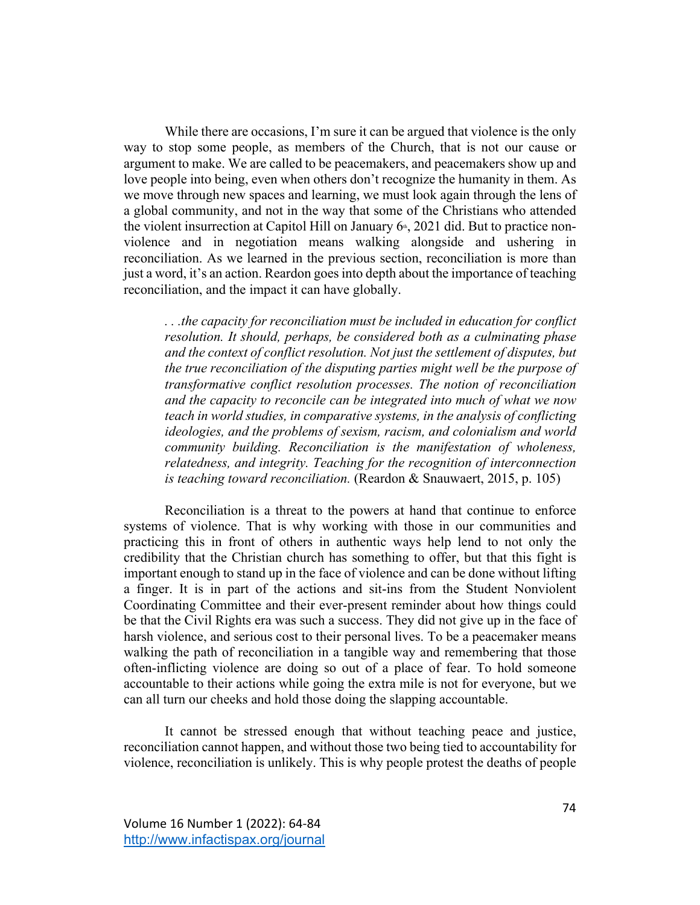While there are occasions, I'm sure it can be argued that violence is the only way to stop some people, as members of the Church, that is not our cause or argument to make. We are called to be peacemakers, and peacemakers show up and love people into being, even when others don't recognize the humanity in them. As we move through new spaces and learning, we must look again through the lens of a global community, and not in the way that some of the Christians who attended the violent insurrection at Capitol Hill on January  $6<sup>*</sup>$ , 2021 did. But to practice nonviolence and in negotiation means walking alongside and ushering in reconciliation. As we learned in the previous section, reconciliation is more than just a word, it's an action. Reardon goes into depth about the importance of teaching reconciliation, and the impact it can have globally.

*. . .the capacity for reconciliation must be included in education for conflict resolution. It should, perhaps, be considered both as a culminating phase and the context of conflict resolution. Not just the settlement of disputes, but the true reconciliation of the disputing parties might well be the purpose of transformative conflict resolution processes. The notion of reconciliation and the capacity to reconcile can be integrated into much of what we now teach in world studies, in comparative systems, in the analysis of conflicting ideologies, and the problems of sexism, racism, and colonialism and world community building. Reconciliation is the manifestation of wholeness, relatedness, and integrity. Teaching for the recognition of interconnection is teaching toward reconciliation.* (Reardon & Snauwaert, 2015, p. 105)

Reconciliation is a threat to the powers at hand that continue to enforce systems of violence. That is why working with those in our communities and practicing this in front of others in authentic ways help lend to not only the credibility that the Christian church has something to offer, but that this fight is important enough to stand up in the face of violence and can be done without lifting a finger. It is in part of the actions and sit-ins from the Student Nonviolent Coordinating Committee and their ever-present reminder about how things could be that the Civil Rights era was such a success. They did not give up in the face of harsh violence, and serious cost to their personal lives. To be a peacemaker means walking the path of reconciliation in a tangible way and remembering that those often-inflicting violence are doing so out of a place of fear. To hold someone accountable to their actions while going the extra mile is not for everyone, but we can all turn our cheeks and hold those doing the slapping accountable.

It cannot be stressed enough that without teaching peace and justice, reconciliation cannot happen, and without those two being tied to accountability for violence, reconciliation is unlikely. This is why people protest the deaths of people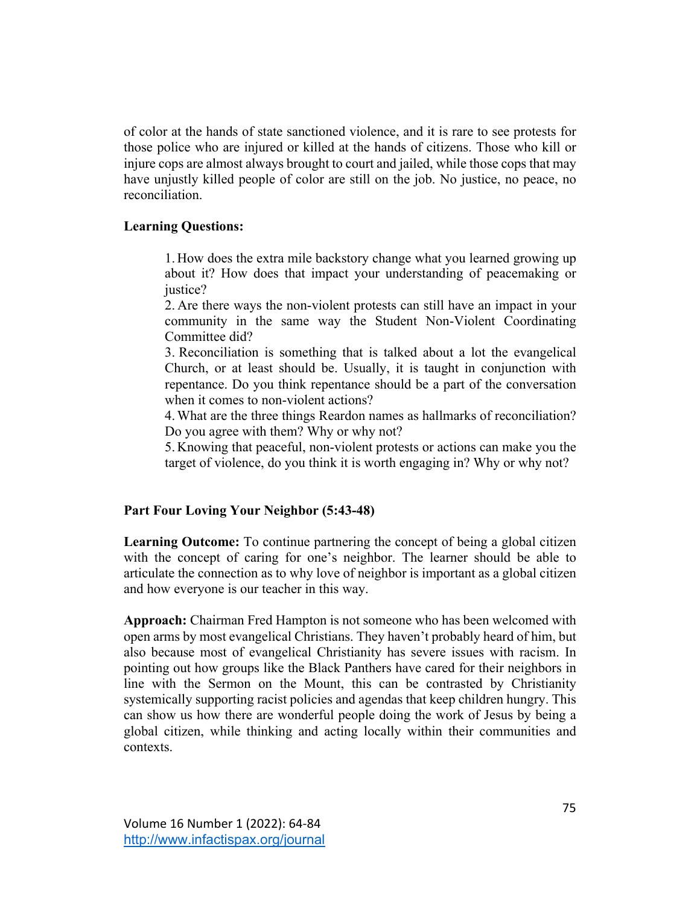of color at the hands of state sanctioned violence, and it is rare to see protests for those police who are injured or killed at the hands of citizens. Those who kill or injure cops are almost always brought to court and jailed, while those cops that may have unjustly killed people of color are still on the job. No justice, no peace, no reconciliation.

## **Learning Questions:**

1. How does the extra mile backstory change what you learned growing up about it? How does that impact your understanding of peacemaking or justice?

2. Are there ways the non-violent protests can still have an impact in your community in the same way the Student Non-Violent Coordinating Committee did?

3. Reconciliation is something that is talked about a lot the evangelical Church, or at least should be. Usually, it is taught in conjunction with repentance. Do you think repentance should be a part of the conversation when it comes to non-violent actions?

4.What are the three things Reardon names as hallmarks of reconciliation? Do you agree with them? Why or why not?

5. Knowing that peaceful, non-violent protests or actions can make you the target of violence, do you think it is worth engaging in? Why or why not?

# **Part Four Loving Your Neighbor (5:43-48)**

Learning Outcome: To continue partnering the concept of being a global citizen with the concept of caring for one's neighbor. The learner should be able to articulate the connection as to why love of neighbor is important as a global citizen and how everyone is our teacher in this way.

**Approach:** Chairman Fred Hampton is not someone who has been welcomed with open arms by most evangelical Christians. They haven't probably heard of him, but also because most of evangelical Christianity has severe issues with racism. In pointing out how groups like the Black Panthers have cared for their neighbors in line with the Sermon on the Mount, this can be contrasted by Christianity systemically supporting racist policies and agendas that keep children hungry. This can show us how there are wonderful people doing the work of Jesus by being a global citizen, while thinking and acting locally within their communities and contexts.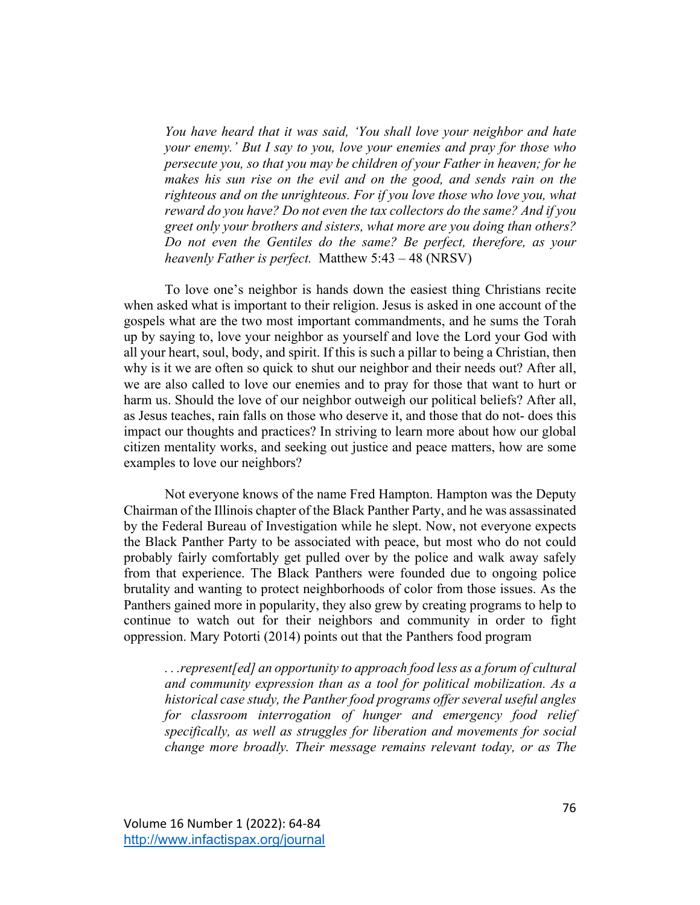*You have heard that it was said, 'You shall love your neighbor and hate your enemy.' But I say to you, love your enemies and pray for those who persecute you, so that you may be children of your Father in heaven; for he makes his sun rise on the evil and on the good, and sends rain on the righteous and on the unrighteous. For if you love those who love you, what reward do you have? Do not even the tax collectors do the same? And if you greet only your brothers and sisters, what more are you doing than others? Do not even the Gentiles do the same? Be perfect, therefore, as your heavenly Father is perfect.* Matthew 5:43 – 48 (NRSV)

To love one's neighbor is hands down the easiest thing Christians recite when asked what is important to their religion. Jesus is asked in one account of the gospels what are the two most important commandments, and he sums the Torah up by saying to, love your neighbor as yourself and love the Lord your God with all your heart, soul, body, and spirit. If this is such a pillar to being a Christian, then why is it we are often so quick to shut our neighbor and their needs out? After all, we are also called to love our enemies and to pray for those that want to hurt or harm us. Should the love of our neighbor outweigh our political beliefs? After all, as Jesus teaches, rain falls on those who deserve it, and those that do not- does this impact our thoughts and practices? In striving to learn more about how our global citizen mentality works, and seeking out justice and peace matters, how are some examples to love our neighbors?

Not everyone knows of the name Fred Hampton. Hampton was the Deputy Chairman of the Illinois chapter of the Black Panther Party, and he was assassinated by the Federal Bureau of Investigation while he slept. Now, not everyone expects the Black Panther Party to be associated with peace, but most who do not could probably fairly comfortably get pulled over by the police and walk away safely from that experience. The Black Panthers were founded due to ongoing police brutality and wanting to protect neighborhoods of color from those issues. As the Panthers gained more in popularity, they also grew by creating programs to help to continue to watch out for their neighbors and community in order to fight oppression. Mary Potorti (2014) points out that the Panthers food program

*. . .represent[ed] an opportunity to approach food less as a forum of cultural and community expression than as a tool for political mobilization. As a historical case study, the Panther food programs offer several useful angles*  for classroom interrogation of hunger and emergency food relief *specifically, as well as struggles for liberation and movements for social change more broadly. Their message remains relevant today, or as The*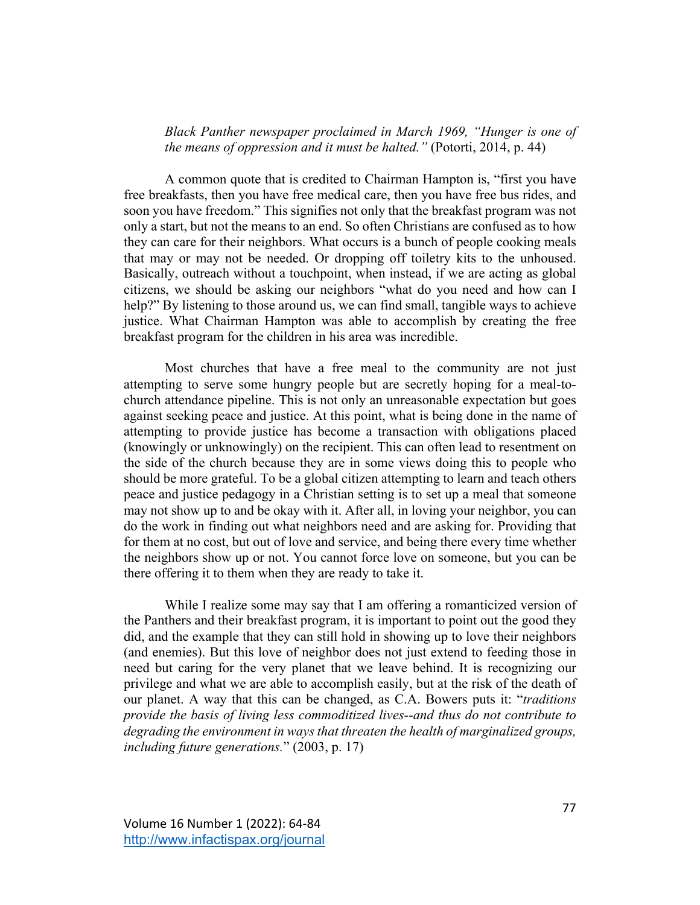*Black Panther newspaper proclaimed in March 1969, "Hunger is one of the means of oppression and it must be halted."* (Potorti, 2014, p. 44)

A common quote that is credited to Chairman Hampton is, "first you have free breakfasts, then you have free medical care, then you have free bus rides, and soon you have freedom." This signifies not only that the breakfast program was not only a start, but not the means to an end. So often Christians are confused as to how they can care for their neighbors. What occurs is a bunch of people cooking meals that may or may not be needed. Or dropping off toiletry kits to the unhoused. Basically, outreach without a touchpoint, when instead, if we are acting as global citizens, we should be asking our neighbors "what do you need and how can I help?" By listening to those around us, we can find small, tangible ways to achieve justice. What Chairman Hampton was able to accomplish by creating the free breakfast program for the children in his area was incredible.

Most churches that have a free meal to the community are not just attempting to serve some hungry people but are secretly hoping for a meal-tochurch attendance pipeline. This is not only an unreasonable expectation but goes against seeking peace and justice. At this point, what is being done in the name of attempting to provide justice has become a transaction with obligations placed (knowingly or unknowingly) on the recipient. This can often lead to resentment on the side of the church because they are in some views doing this to people who should be more grateful. To be a global citizen attempting to learn and teach others peace and justice pedagogy in a Christian setting is to set up a meal that someone may not show up to and be okay with it. After all, in loving your neighbor, you can do the work in finding out what neighbors need and are asking for. Providing that for them at no cost, but out of love and service, and being there every time whether the neighbors show up or not. You cannot force love on someone, but you can be there offering it to them when they are ready to take it.

While I realize some may say that I am offering a romanticized version of the Panthers and their breakfast program, it is important to point out the good they did, and the example that they can still hold in showing up to love their neighbors (and enemies). But this love of neighbor does not just extend to feeding those in need but caring for the very planet that we leave behind. It is recognizing our privilege and what we are able to accomplish easily, but at the risk of the death of our planet. A way that this can be changed, as C.A. Bowers puts it: "*traditions provide the basis of living less commoditized lives--and thus do not contribute to degrading the environment in ways that threaten the health of marginalized groups, including future generations.*" (2003, p. 17)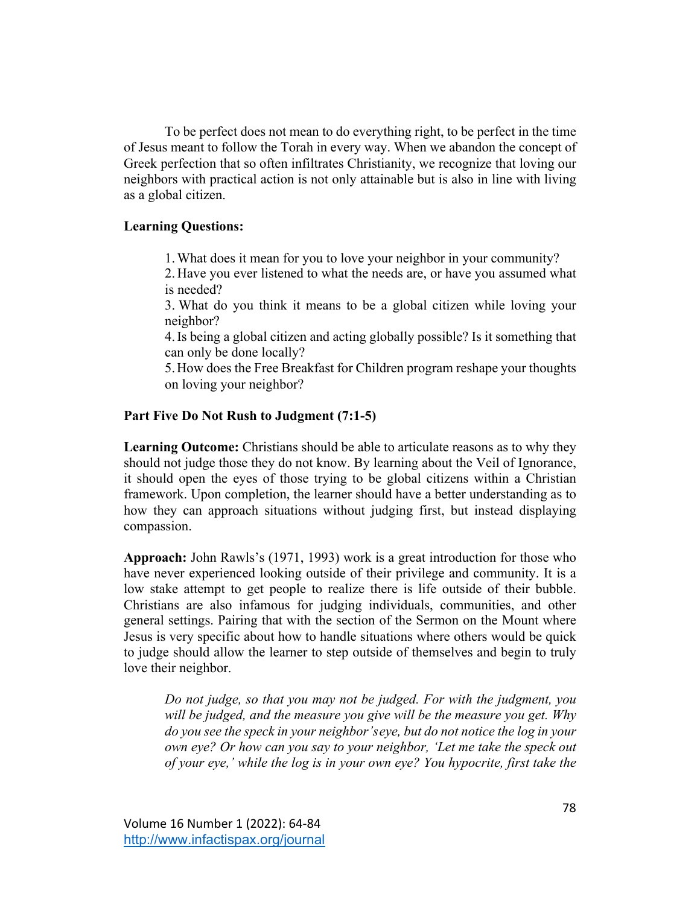To be perfect does not mean to do everything right, to be perfect in the time of Jesus meant to follow the Torah in every way. When we abandon the concept of Greek perfection that so often infiltrates Christianity, we recognize that loving our neighbors with practical action is not only attainable but is also in line with living as a global citizen.

# **Learning Questions:**

1.What does it mean for you to love your neighbor in your community?

2. Have you ever listened to what the needs are, or have you assumed what is needed?

3. What do you think it means to be a global citizen while loving your neighbor?

4.Is being a global citizen and acting globally possible? Is it something that can only be done locally?

5.How does the Free Breakfast for Children program reshape your thoughts on loving your neighbor?

# **Part Five Do Not Rush to Judgment (7:1-5)**

**Learning Outcome:** Christians should be able to articulate reasons as to why they should not judge those they do not know. By learning about the Veil of Ignorance, it should open the eyes of those trying to be global citizens within a Christian framework. Upon completion, the learner should have a better understanding as to how they can approach situations without judging first, but instead displaying compassion.

**Approach:** John Rawls's (1971, 1993) work is a great introduction for those who have never experienced looking outside of their privilege and community. It is a low stake attempt to get people to realize there is life outside of their bubble. Christians are also infamous for judging individuals, communities, and other general settings. Pairing that with the section of the Sermon on the Mount where Jesus is very specific about how to handle situations where others would be quick to judge should allow the learner to step outside of themselves and begin to truly love their neighbor.

*Do not judge, so that you may not be judged. For with the judgment, you will be judged, and the measure you give will be the measure you get. Why do you see the speck in your neighbor'seye, but do not notice the log in your own eye? Or how can you say to your neighbor, 'Let me take the speck out of your eye,' while the log is in your own eye? You hypocrite, first take the*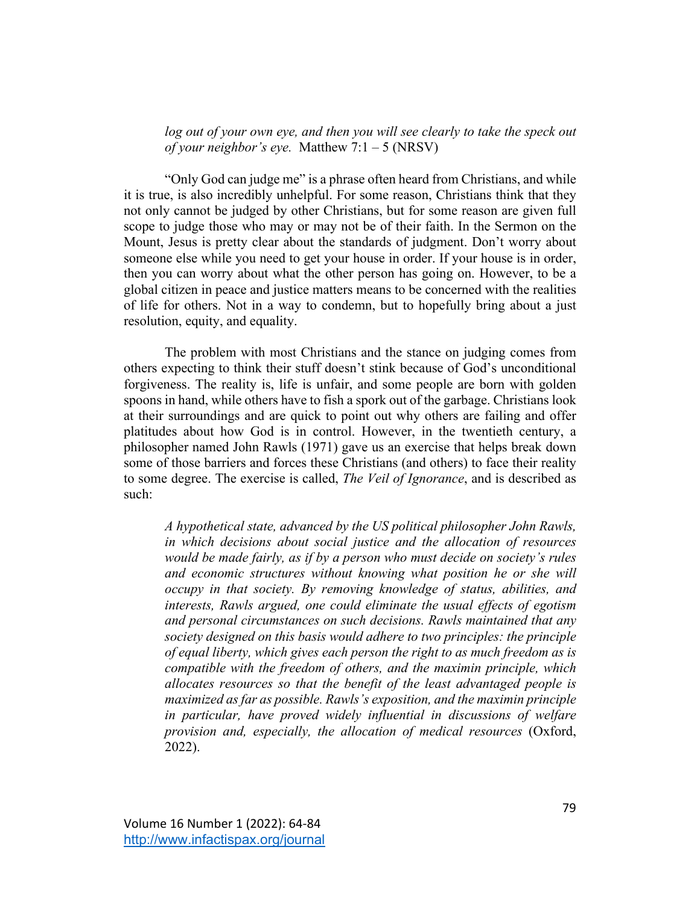*log out of your own eye, and then you will see clearly to take the speck out of your neighbor's eye.* Matthew 7:1 – 5 (NRSV)

"Only God can judge me" is a phrase often heard from Christians, and while it is true, is also incredibly unhelpful. For some reason, Christians think that they not only cannot be judged by other Christians, but for some reason are given full scope to judge those who may or may not be of their faith. In the Sermon on the Mount, Jesus is pretty clear about the standards of judgment. Don't worry about someone else while you need to get your house in order. If your house is in order, then you can worry about what the other person has going on. However, to be a global citizen in peace and justice matters means to be concerned with the realities of life for others. Not in a way to condemn, but to hopefully bring about a just resolution, equity, and equality.

The problem with most Christians and the stance on judging comes from others expecting to think their stuff doesn't stink because of God's unconditional forgiveness. The reality is, life is unfair, and some people are born with golden spoons in hand, while others have to fish a spork out of the garbage. Christians look at their surroundings and are quick to point out why others are failing and offer platitudes about how God is in control. However, in the twentieth century, a philosopher named John Rawls (1971) gave us an exercise that helps break down some of those barriers and forces these Christians (and others) to face their reality to some degree. The exercise is called, *The Veil of Ignorance*, and is described as such:

*A hypothetical state, advanced by the US political philosopher John Rawls, in which decisions about social justice and the allocation of resources would be made fairly, as if by a person who must decide on society's rules and economic structures without knowing what position he or she will occupy in that society. By removing knowledge of status, abilities, and interests, Rawls argued, one could eliminate the usual effects of egotism and personal circumstances on such decisions. Rawls maintained that any society designed on this basis would adhere to two principles: the principle of equal liberty, which gives each person the right to as much freedom as is compatible with the freedom of others, and the maximin principle, which allocates resources so that the benefit of the least advantaged people is maximized as far as possible. Rawls's exposition, and the maximin principle in particular, have proved widely influential in discussions of welfare provision and, especially, the allocation of medical resources* (Oxford, 2022).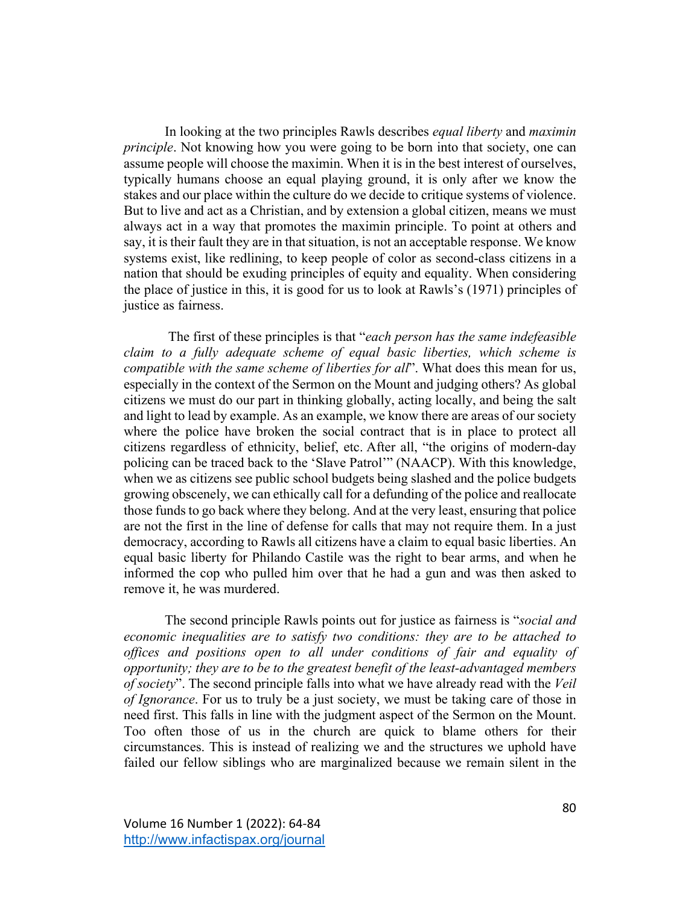In looking at the two principles Rawls describes *equal liberty* and *maximin principle*. Not knowing how you were going to be born into that society, one can assume people will choose the maximin. When it is in the best interest of ourselves, typically humans choose an equal playing ground, it is only after we know the stakes and our place within the culture do we decide to critique systems of violence. But to live and act as a Christian, and by extension a global citizen, means we must always act in a way that promotes the maximin principle. To point at others and say, it is their fault they are in that situation, is not an acceptable response. We know systems exist, like redlining, to keep people of color as second-class citizens in a nation that should be exuding principles of equity and equality. When considering the place of justice in this, it is good for us to look at Rawls's (1971) principles of justice as fairness.

 The first of these principles is that "*each person has the same indefeasible claim to a fully adequate scheme of equal basic liberties, which scheme is compatible with the same scheme of liberties for all*". What does this mean for us, especially in the context of the Sermon on the Mount and judging others? As global citizens we must do our part in thinking globally, acting locally, and being the salt and light to lead by example. As an example, we know there are areas of our society where the police have broken the social contract that is in place to protect all citizens regardless of ethnicity, belief, etc. After all, "the origins of modern-day policing can be traced back to the 'Slave Patrol'" (NAACP). With this knowledge, when we as citizens see public school budgets being slashed and the police budgets growing obscenely, we can ethically call for a defunding of the police and reallocate those funds to go back where they belong. And at the very least, ensuring that police are not the first in the line of defense for calls that may not require them. In a just democracy, according to Rawls all citizens have a claim to equal basic liberties. An equal basic liberty for Philando Castile was the right to bear arms, and when he informed the cop who pulled him over that he had a gun and was then asked to remove it, he was murdered.

 The second principle Rawls points out for justice as fairness is "*social and economic inequalities are to satisfy two conditions: they are to be attached to offices and positions open to all under conditions of fair and equality of opportunity; they are to be to the greatest benefit of the least-advantaged members of society*". The second principle falls into what we have already read with the *Veil of Ignorance*. For us to truly be a just society, we must be taking care of those in need first. This falls in line with the judgment aspect of the Sermon on the Mount. Too often those of us in the church are quick to blame others for their circumstances. This is instead of realizing we and the structures we uphold have failed our fellow siblings who are marginalized because we remain silent in the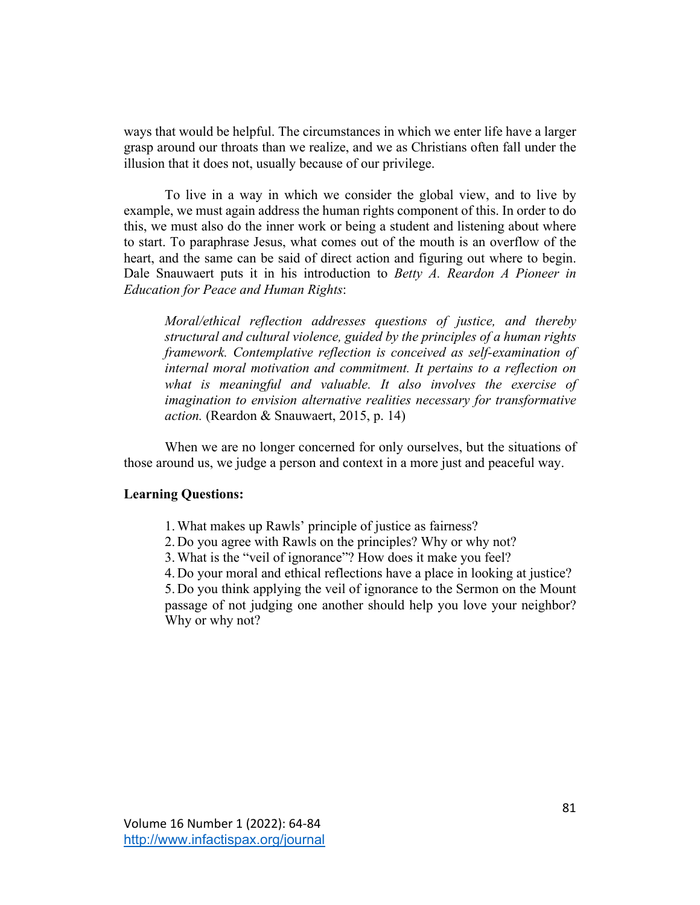ways that would be helpful. The circumstances in which we enter life have a larger grasp around our throats than we realize, and we as Christians often fall under the illusion that it does not, usually because of our privilege.

 To live in a way in which we consider the global view, and to live by example, we must again address the human rights component of this. In order to do this, we must also do the inner work or being a student and listening about where to start. To paraphrase Jesus, what comes out of the mouth is an overflow of the heart, and the same can be said of direct action and figuring out where to begin. Dale Snauwaert puts it in his introduction to *Betty A. Reardon A Pioneer in Education for Peace and Human Rights*:

*Moral/ethical reflection addresses questions of justice, and thereby structural and cultural violence, guided by the principles of a human rights framework. Contemplative reflection is conceived as self-examination of internal moral motivation and commitment. It pertains to a reflection on what is meaningful and valuable. It also involves the exercise of imagination to envision alternative realities necessary for transformative action.* (Reardon & Snauwaert, 2015, p. 14)

When we are no longer concerned for only ourselves, but the situations of those around us, we judge a person and context in a more just and peaceful way.

#### **Learning Questions:**

- 1.What makes up Rawls' principle of justice as fairness?
- 2. Do you agree with Rawls on the principles? Why or why not?
- 3.What is the "veil of ignorance"? How does it make you feel?
- 4. Do your moral and ethical reflections have a place in looking at justice?

5. Do you think applying the veil of ignorance to the Sermon on the Mount passage of not judging one another should help you love your neighbor? Why or why not?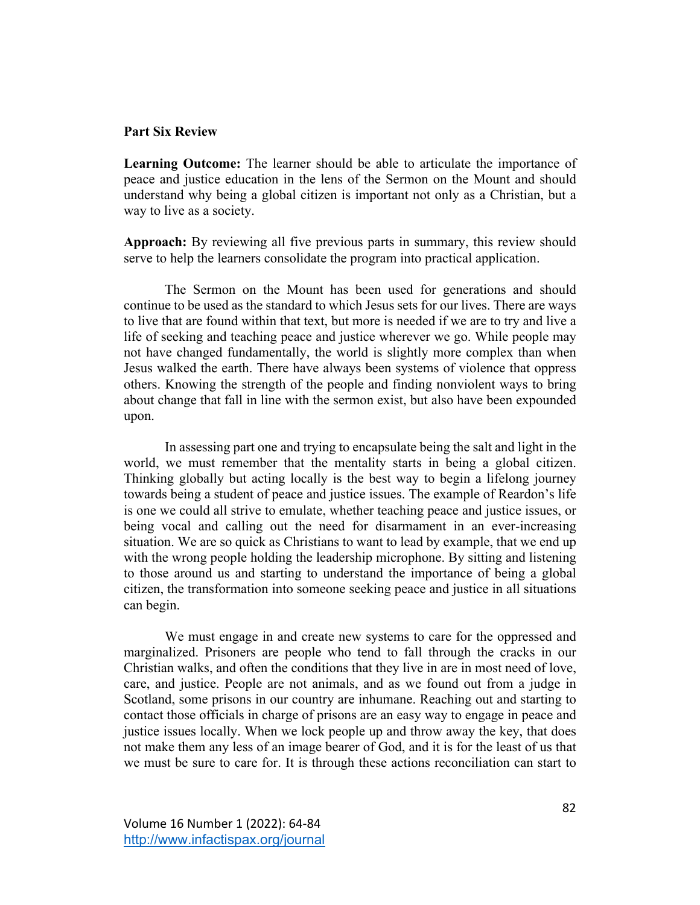#### **Part Six Review**

**Learning Outcome:** The learner should be able to articulate the importance of peace and justice education in the lens of the Sermon on the Mount and should understand why being a global citizen is important not only as a Christian, but a way to live as a society.

**Approach:** By reviewing all five previous parts in summary, this review should serve to help the learners consolidate the program into practical application.

The Sermon on the Mount has been used for generations and should continue to be used as the standard to which Jesus sets for our lives. There are ways to live that are found within that text, but more is needed if we are to try and live a life of seeking and teaching peace and justice wherever we go. While people may not have changed fundamentally, the world is slightly more complex than when Jesus walked the earth. There have always been systems of violence that oppress others. Knowing the strength of the people and finding nonviolent ways to bring about change that fall in line with the sermon exist, but also have been expounded upon.

In assessing part one and trying to encapsulate being the salt and light in the world, we must remember that the mentality starts in being a global citizen. Thinking globally but acting locally is the best way to begin a lifelong journey towards being a student of peace and justice issues. The example of Reardon's life is one we could all strive to emulate, whether teaching peace and justice issues, or being vocal and calling out the need for disarmament in an ever-increasing situation. We are so quick as Christians to want to lead by example, that we end up with the wrong people holding the leadership microphone. By sitting and listening to those around us and starting to understand the importance of being a global citizen, the transformation into someone seeking peace and justice in all situations can begin.

We must engage in and create new systems to care for the oppressed and marginalized. Prisoners are people who tend to fall through the cracks in our Christian walks, and often the conditions that they live in are in most need of love, care, and justice. People are not animals, and as we found out from a judge in Scotland, some prisons in our country are inhumane. Reaching out and starting to contact those officials in charge of prisons are an easy way to engage in peace and justice issues locally. When we lock people up and throw away the key, that does not make them any less of an image bearer of God, and it is for the least of us that we must be sure to care for. It is through these actions reconciliation can start to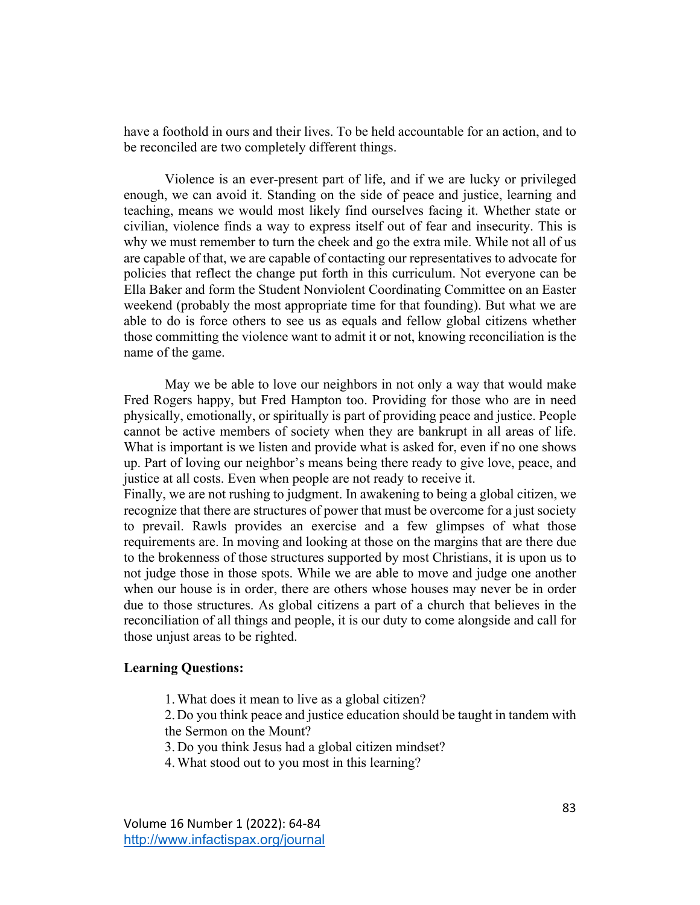have a foothold in ours and their lives. To be held accountable for an action, and to be reconciled are two completely different things.

Violence is an ever-present part of life, and if we are lucky or privileged enough, we can avoid it. Standing on the side of peace and justice, learning and teaching, means we would most likely find ourselves facing it. Whether state or civilian, violence finds a way to express itself out of fear and insecurity. This is why we must remember to turn the cheek and go the extra mile. While not all of us are capable of that, we are capable of contacting our representatives to advocate for policies that reflect the change put forth in this curriculum. Not everyone can be Ella Baker and form the Student Nonviolent Coordinating Committee on an Easter weekend (probably the most appropriate time for that founding). But what we are able to do is force others to see us as equals and fellow global citizens whether those committing the violence want to admit it or not, knowing reconciliation is the name of the game.

May we be able to love our neighbors in not only a way that would make Fred Rogers happy, but Fred Hampton too. Providing for those who are in need physically, emotionally, or spiritually is part of providing peace and justice. People cannot be active members of society when they are bankrupt in all areas of life. What is important is we listen and provide what is asked for, even if no one shows up. Part of loving our neighbor's means being there ready to give love, peace, and justice at all costs. Even when people are not ready to receive it.

Finally, we are not rushing to judgment. In awakening to being a global citizen, we recognize that there are structures of power that must be overcome for a just society to prevail. Rawls provides an exercise and a few glimpses of what those requirements are. In moving and looking at those on the margins that are there due to the brokenness of those structures supported by most Christians, it is upon us to not judge those in those spots. While we are able to move and judge one another when our house is in order, there are others whose houses may never be in order due to those structures. As global citizens a part of a church that believes in the reconciliation of all things and people, it is our duty to come alongside and call for those unjust areas to be righted.

#### **Learning Questions:**

1.What does it mean to live as a global citizen?

2.Do you think peace and justice education should be taught in tandem with the Sermon on the Mount?

- 3. Do you think Jesus had a global citizen mindset?
- 4.What stood out to you most in this learning?

Volume 16 Number 1 (2022): 64-84 http://www.infactispax.org/journal